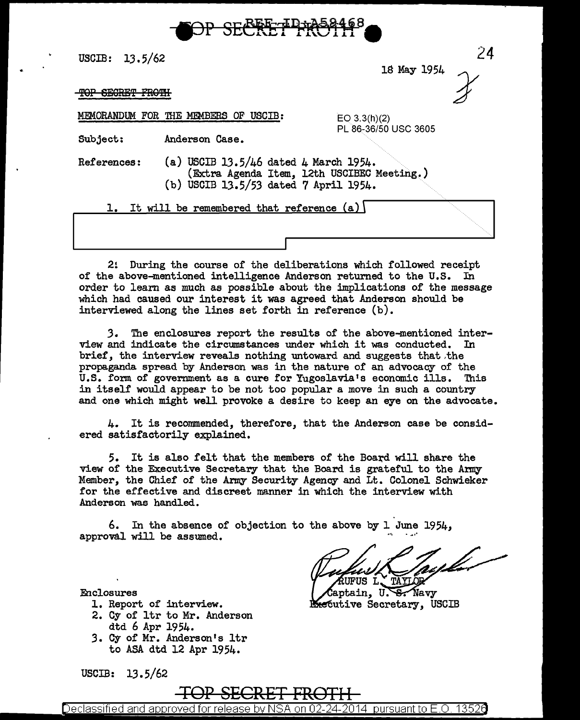

USCIB:  $13.5/62$ 

lS May 1954

24

PL 86-36/50 USC 3605

TOP SECRET FROTH

MEMORANDUM FOR THE MEMBERS OF USCIB: EQ 3.3(h)(2)

Subject: Anderson Case.

References: (a) USCIB 13.5/46 dated 4 March 1954. (Extra Agenda Item, 12th USCIBEC Meeting.) (b) USCIB 13.5/53 dated 7 April 1954.

1. It will be remembered that reference  $(a)$ 

2! During the course of the deliberations which followed receipt of the above-mentioned intelligence Anderson returned to the U.S. In order to learn as much as possible about the implications of the message which had caused our interest it was agreed that Anderson should be interviewed along the lines set forth in reference (b).

.3. The enclosures report the results of the above-mentioned interview and indicate the circumstances under which it was conducted. In brief, the interview reveals nothing untoward and suggests that the propaganda spread by Anderson was in the nature of an advocacy of the U.S. form of government as a cure for Yugoslavia's economic ills. This in itself would appear to be not too popular a move in such a country and one which might well provoke a desire to keep an eye on the advocate.

4. It is recommended, therefore, that the Anderson case be considered satisfactorily explained.

5. It is also felt that the members of the Board will share the view of the Executive Secretary that the Board is grateful to the Army Member, the Chief of the Army Security Agency and Lt. Colonel Schwieker for the effective and discreet manner in which the interview with Anderson was handled.

6. In the absence of objection to the above by 1 June 1954, approval will be assumed.

TAYLOR ÆUFUS L

Captain, U.S. Navy **Executive Secretary, USCIB** 

Enclosures

- 1. Report of interview.
- 2. Cy of ltr to Mr. Anderson dtd 6 Apr 1954.
- 3. Cy of Mr. Anderson's ltr to ASA dtd 12 Apr 1954.

USCIB:  $13.5/62$ 

# **TOP SECRET FRDTI-I**

Declassified and approved for release by NSA on 02-24-2014  $\,$  pursuant to E.O. 13526  $\,$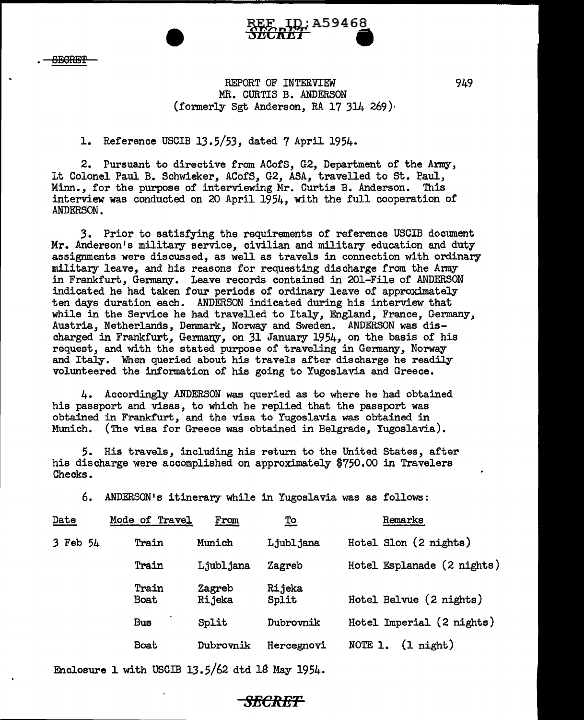

### REPORT OF INTERVIEW MR. CURTIS B. ANDERSON (formerly Sgt Anderson, RA 17 314 269}

MF ID:A59468 r.-,,,, **<sup>n</sup>**r.-~ **<sup>A</sup>**

**JECKET** 

#### 1. Reference USCIB 13.5/53, dated 7 April 1954.

2. Pursuant to directive from ACofS, G2, Department of the Army, Lt Colonel Paul B. Schwieker, ACofS, G2, ASA, travelled to St. Paul, Minn., for the purpose of interviewing Mr. Curtis B. Anderson. This interview was conducted on 20 April 1954, with the full cooperation of ANDERSON.

3. Prior to satisfying the requirements of reference USCIB document Mr. Anderson's military service, civilian and military education and duty assignments were discussed, as well as travels in connection with ordinary military leave, and his reasons for requesting discharge from the Army in Frankfurt, Germany. Leave records contained in 201-File of ANDERSON indicated he had taken four periods of ordinary leave of approximately ten days duration each. ANDERSON indicated during his interview that while in the Service he had travelled to Italy, England, France, Germany, Austria, Netherlands, Denmark, Norway and Sweden. ANDERSON was discharged in Frankfurt, Germany, on 31 January 1954, on the basis of his request, and with the stated purpose of traveling in Germany, Norway and Italy. When queried about his travels after discharge he readily volunteered the information of his going to Yugoslavia and Greece.

4. Accordingly ANDERSON was queried as to where he had obtained his passport and visas, to which he replied that the passport was obtained in Frankfurt, and the visa to Yugoslavia was obtained in Munich. (The visa for Greece was obtained in Belgrade, Yugoslavia).

5. His travels, including his return to the United States, after his discharge were accomplished on approximately \$750.00 in Travelers Checks.

6. ANDERSON's itinerary while in Yugoslavia was as follows:

| Date     | Mode of Travel       | From             | <u>To</u>       | Remarks                        |
|----------|----------------------|------------------|-----------------|--------------------------------|
| 3 Feb 54 | Train                | Munich           | Ljubljana       | Hotel Slon (2 nights)          |
|          | Train                | Ljubljana        | Zagreb          | Hotel Esplanade (2 nights)     |
|          | Train<br><b>Boat</b> | Zagreb<br>Rijeka | Rijeka<br>Split | Hotel Belvue (2 nights)        |
|          | <b>Bus</b>           | Split            | Dubrovnik       | Hotel Imperial (2 nights)      |
|          | Boat                 | Dubrovnik        | Hercegnovi      | $(1 \text{ night})$<br>NOTE 1. |

Enclosure 1 with USCIB 13.5/62 dtd 18 May 1954.

#### 949

## *SECRET*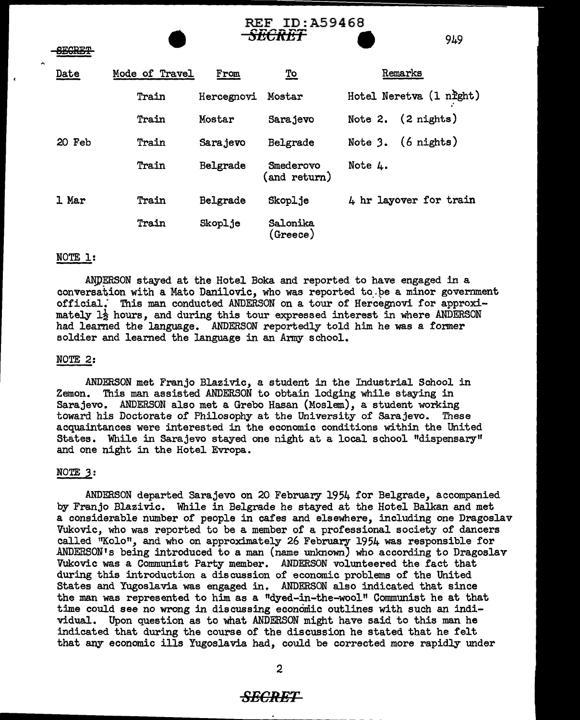|               | RLE<br><u>ID:AJJ400</u> |            |                           |                              |  |
|---------------|-------------------------|------------|---------------------------|------------------------------|--|
| <b>SECRET</b> |                         |            | <del>SECRET</del>         | 949                          |  |
| Date          | Mode of Travel          | From       | <u>To</u>                 | Remarks                      |  |
|               | <b>Train</b>            | Hercegnovi | Mostar                    | Hotel Neretva (1 night)      |  |
|               | Train                   | Mostar     | Sarajevo                  | Note 2. $(2 \text{ nights})$ |  |
| 20 Feb        | Train                   | Sarajevo   | Belgrade                  | Note $3.$ (6 nights)         |  |
|               | Train                   | Belgrade   | Smederovo<br>(and return) | Note 4.                      |  |
| 1 Mar         | Train                   | Belgrade   | Skoplje                   | 4 hr layover for train       |  |
|               | Train                   | Skoplje    | Salonika<br>(Sreeze)      |                              |  |

TR. REGACO

#### NOTE 1:

 $\overline{\phantom{a}}$ 

ANDERSON stayed at the Hotel Boka and reported to have engaged in a conversation with a Mato Danilovic, who was reported to be a minor government official: This man conducted ANDERSON on a tour of Hercegnovi for approximately  $1\frac{1}{2}$  hours, and during this tour expressed interest in where ANDERSON had learned the language. ANDERSON reportedly told him he was a former soldier and learned the language in an Army school.

#### NOTE<sub>2</sub>:

ANDERSON met Franjo Blazivic, a student in the Industrial School in Zemon. This man assisted ANDERSON to obtain lodging while staying in Sarajevo. ANDERSON also met a Grebe Hasan (Moslem), a student working toward his Doctorate of Philosophy at the University of Sarajevo. These acquaintances were interested in the economic conditions within the United States. 'While in Sarajevo stayed one night at a local school "dispensary" and one night in the Hotel Evropa.

#### NOTE *3:*

ANDERSON departed Sarajevo on 20 February 1954 for Belgrade, accompanied by Franjo Blazivic. While in Belgrade he stayed at the Hotel Balkan and met a considerable number of people in cafes and elsewhere, including one Dragoslav Vukovic, who was reported to be a member of a professional society of dancers called "Kolo", and who on approximately 26 February 1954 was responsible for ANDERSON's being introduced to a man (name unknown) who according to Dragoslav Vukovic was a Communist Party member. ANDERSON volunteered the fact that during this introduction a discussion of economic problems of the United States and Yugoslavia was engaged in. ANDERSON also indicated that since the man was represented to him as a "dyed-in-the-wool" Communist he at that time could see no wrong in discussing economic outlines with such an individual. Upon question as to what ANDERSON might have said to this man he indicated that during the course of the discussion he stated that he felt that any economic ills Yugoslavia had, could be corrected more rapidly under

#### **SECRET**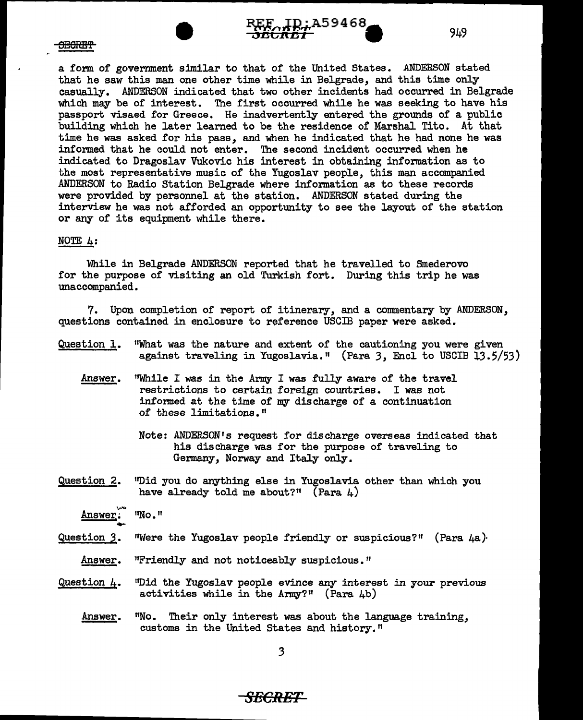

a form of government similar to that of the United States. ANDERSON stated that he saw this man one other time while in Belgrade, and this time only casually. ANDERSON indicated that two other incidents had occurred in Belgrade which may be of interest. The first occurred while he was seeking to have his passport visaed for Greece. He inadvertently entered the grounds of a public building which he later learned to be the residence of Marshal Tito. At that time he was asked for his pass, and when he indicated that he had none he was informed that he could not enter. The second incident occurred when he indicated to Dragoslav Vukovic his interest in obtaining information as to the most representative music of the Yugoslav people, this man accompanied ANDERSON to Radio Station Belgrade where information as to these records were provided by personnel at the station. ANDERSON stated during the interview he was not afforded an opportunity to see the layout of the station or any of its equipment while there.

A59468

#### NOTE 4:

While in Belgrade ANDERSON reported that he travelled to Smederovo for the purpose of visiting an old Turkish fort. During this trip he was unaccompanied.

7. Upon completion of report of itinerary, and a commentary by ANDERSON, questions contained in enclosure to reference USCIB paper were asked.

- Question 1. "What was the nature and extent of the cautioning you were given against traveling in Yugoslavia." (Para 3, Encl to USCIB 13.5/53)
	- Answer. "While I was in the Army I was fully aware of the travel restrictions to certain foreign countries. I was not informed at the time of my discharge of a continuation of these limitations."
		- Note: ANDERSON's request for discharge overseas indicated that his discharge was for the purpose of traveling to Germany, Norway and Italy only.
- Question 2. "Did you do anything else in Yugoslavia other than which you have already told me about?" (Para  $\mu$ )

Answer. "No."

- Question 3. Were the Yugoslav people friendly or suspicious?" (Para 4a).
	- Answer. "Friendly and not noticeably suspicious."
- Question 4. ''Did the Yugoslav people evince any interest in your previous activities while in the Army?" (Para  $4b$ )
	- Answer. <sup>11</sup>No. Their only interest was about the language training, customs in the United States and history."

3

*SECRET* 

949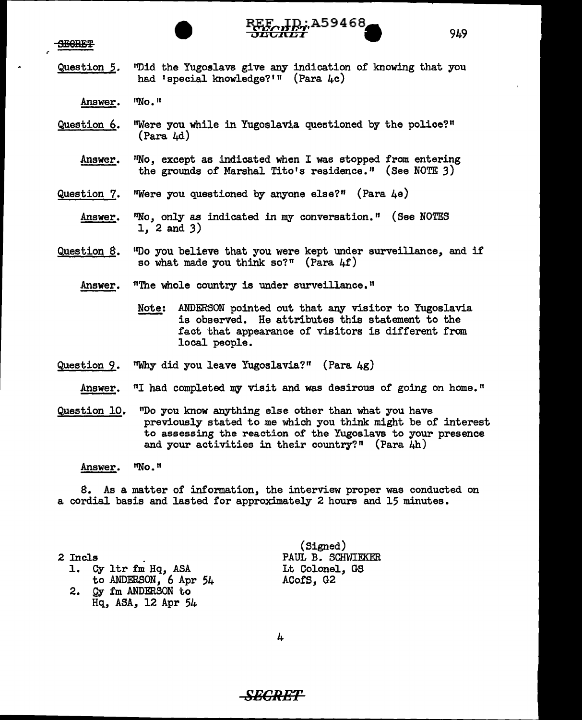SEGRET



- Question 5. <sup>11</sup>Did the Yugoslavs give any indication of knowing that you had 'special knowledge?'" (Para 4c)
	- Answer. 11No. 11
- Question 6. ''Were you while in Yugoslavia questioned by the police?" (Para 4d)
	- Answer. "No, except as indicated when I was stopped from entering the grounds of Marshal Tito's residence." (See NOTE 3)

Question 7. "Were you questioned by anyone else?" (Para  $\mu$ e)

- Answer. "No, only as indicated in my conversation." (See NOTES 1, 2 and 3)
- Question 8. 11Do you believe that you were kept under surveillance, and if so what made you think so?" (Para  $4f$ )

Answer. "The whole country is under surveillance."

- Note: ANDERSON pointed out that any visitor to Yugoslavia is observed. He attributes this statement to the fact that appearance of visitors is different from local people.
- Question 9. 1 'Why did you leave Yugoslavia?" (Para 4g)
	- Answer. "I had completed my visit and was desirous of going on home."
- Question 10. "Do you know anything else other than what you have previously stated to me which you think might be of interest to assessing the reaction of the Yugoslavs to your presence and your activities in their country?" (Para  $\mu$ h)

Answer. ''No. n

8. As a matter of information, the interview proper was conducted on a cordial basis and lasted for approximately 2 hours and 15 minutes.

2 Incls<br>1. Cy 1tr fm Hq, ASA to ANDERSON, 6 Apr 54 2. Qy fm ANDERSON to

Hq, ASA, 12 Apr 54

(Signed) PAUL B. SCHWIEKER Lt Colonel, GS Acors, G2

4

# **SECRET**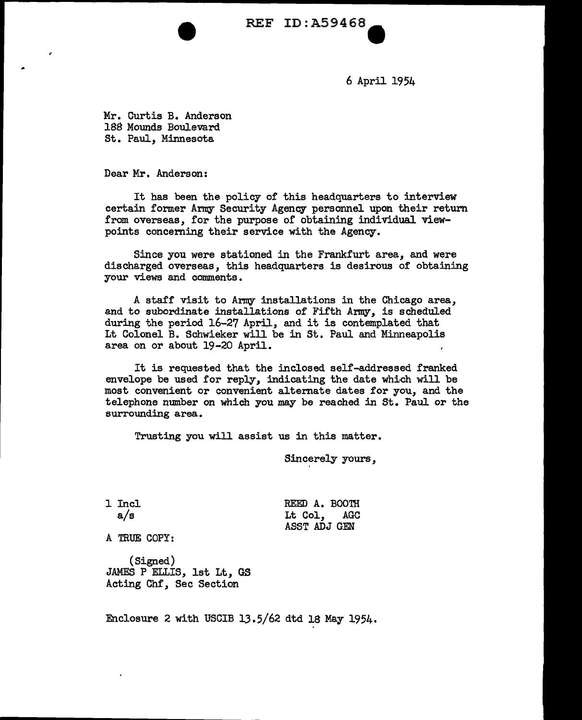REF ID:A59468

6 April 1954

Mr. Curtis B. Anderson 188 Mounds Boulevard St. Paul, Minnesota

Dear Mr. Anderson:

It has been the policy of this headquarters to interview certain former Army Security Agency personnel upon their return from overseas, for the purpose of obtaining individual viewpoints concerning their service with the Agency.

Since you were stationed in the Frankfurt area, and were discharged overseas, this headquarters is desirous of obtaining your views and comments.

A staff visit to Army installations in the Chicago area, and to subordinate installations of Fifth Army, is scheduled during the period 16-27 April, and it is contemplated that Lt Colonel B. Schwieker will be in St. Paul and Minneapolis area on or about 19-20 April.

It is requested that the inclosed self-addressed franked envelope be used for reply, indicating the date which will be most convenient or convenient alternate dates for you, and the telephone number on which you may be reached in St. Paul or the surrounding area.

Trusting you will assist us in this matter.

Sincerely yours,

1 Incl a/s REED A. BOOTH Lt Col, AGC ASST ADJ GEN

A TRUE COPY:

(Signed) JAMES P ELLIS, 1st Lt, GS Acting Chf, Sec Section

Enclosure 2 with USCIB 13.5/62 dtd 18 May 1954.